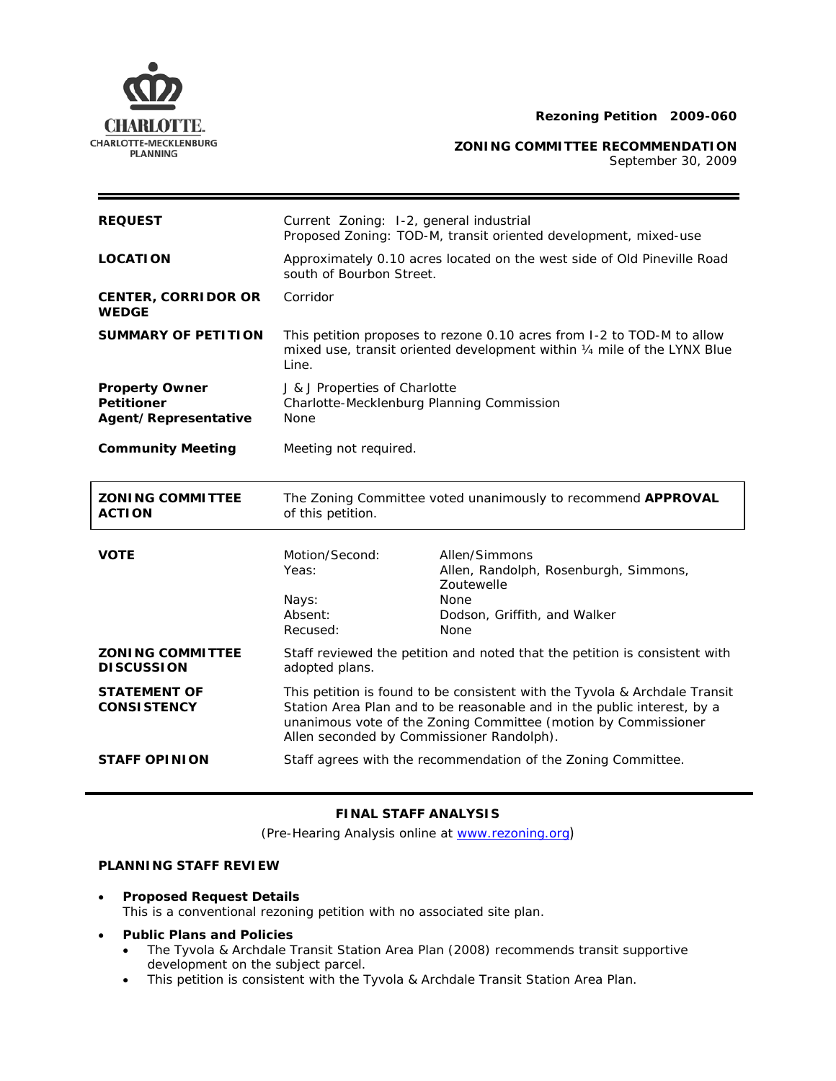

**ZONING COMMITTEE RECOMMENDATION** 

September 30, 2009

| <b>REQUEST</b>                                                     | Current Zoning: 1-2, general industrial<br>Proposed Zoning: TOD-M, transit oriented development, mixed-use                                                  |                                                                                                                                                                                                                         |
|--------------------------------------------------------------------|-------------------------------------------------------------------------------------------------------------------------------------------------------------|-------------------------------------------------------------------------------------------------------------------------------------------------------------------------------------------------------------------------|
| <b>LOCATION</b>                                                    | Approximately 0.10 acres located on the west side of Old Pineville Road<br>south of Bourbon Street.                                                         |                                                                                                                                                                                                                         |
| <b>CENTER, CORRIDOR OR</b><br><b>WEDGE</b>                         | Corridor                                                                                                                                                    |                                                                                                                                                                                                                         |
| <b>SUMMARY OF PETITION</b>                                         | This petition proposes to rezone 0.10 acres from I-2 to TOD-M to allow<br>mixed use, transit oriented development within 1/4 mile of the LYNX Blue<br>Line. |                                                                                                                                                                                                                         |
| <b>Property Owner</b><br><b>Petitioner</b><br>Agent/Representative | J & J Properties of Charlotte<br>Charlotte-Mecklenburg Planning Commission<br>None                                                                          |                                                                                                                                                                                                                         |
| <b>Community Meeting</b>                                           | Meeting not required.                                                                                                                                       |                                                                                                                                                                                                                         |
|                                                                    | The Zoning Committee voted unanimously to recommend APPROVAL<br>of this petition.                                                                           |                                                                                                                                                                                                                         |
| <b>ZONING COMMITTEE</b><br><b>ACTION</b>                           |                                                                                                                                                             |                                                                                                                                                                                                                         |
| <b>VOTE</b>                                                        | Motion/Second:<br>Yeas:<br>Nays:<br>Absent:<br>Recused:                                                                                                     | Allen/Simmons<br>Allen, Randolph, Rosenburgh, Simmons,<br>Zoutewelle<br><b>None</b><br>Dodson, Griffith, and Walker<br>None                                                                                             |
| <b>ZONING COMMITTEE</b><br><b>DISCUSSION</b>                       | adopted plans.                                                                                                                                              | Staff reviewed the petition and noted that the petition is consistent with                                                                                                                                              |
| <b>STATEMENT OF</b><br><b>CONSISTENCY</b>                          | Allen seconded by Commissioner Randolph).                                                                                                                   | This petition is found to be consistent with the Tyvola & Archdale Transit<br>Station Area Plan and to be reasonable and in the public interest, by a<br>unanimous vote of the Zoning Committee (motion by Commissioner |

## **FINAL STAFF ANALYSIS**

(Pre-Hearing Analysis online at [www.rezoning.org](http://www.rezoning.org/))

# **PLANNING STAFF REVIEW**

• **Proposed Request Details**

This is a conventional rezoning petition with no associated site plan.

### • **Public Plans and Policies**

- The *Tyvola & Archdale Transit Station Area Plan* (2008) recommends transit supportive development on the subject parcel.
- This petition is consistent with the *Tyvola & Archdale Transit Station Area Plan*.